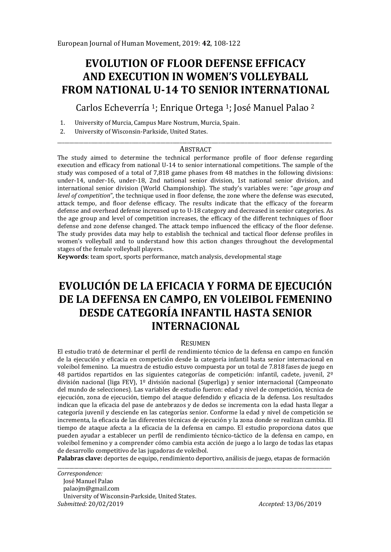# **EVOLUTION OF FLOOR DEFENSE EFFICACY AND EXECUTION IN WOMEN'S VOLLEYBALL FROM NATIONAL U-14 TO SENIOR INTERNATIONAL**

Carlos Echeverría <sup>1</sup>; Enrique Ortega 1; José Manuel Palao <sup>2</sup>

- 1. University of Murcia, Campus Mare Nostrum, Murcia, Spain.
- 2. University of Wisconsin-Parkside, United States.

#### \_\_\_\_\_\_\_\_\_\_\_\_\_\_\_\_\_\_\_\_\_\_\_\_\_\_\_\_\_\_\_\_\_\_\_\_\_\_\_\_\_\_\_\_\_\_\_\_\_\_\_\_\_\_\_\_\_\_\_\_\_\_\_\_\_\_\_\_\_\_\_\_\_\_\_\_\_\_\_\_\_\_\_\_\_\_\_\_\_\_\_\_\_\_\_\_\_\_\_\_\_\_\_\_\_\_\_\_\_\_\_\_\_\_ **ABSTRACT**

The study aimed to determine the technical performance profile of floor defense regarding execution and efficacy from national U-14 to senior international competitions. The sample of the study was composed of a total of 7,818 game phases from 48 matches in the following divisions: under-14, under-16, under-18, 2nd national senior division, 1st national senior division, and international senior division (World Championship). The study's variables were: "*age group and level of competition*", the technique used in floor defense, the zone where the defense was executed. attack tempo, and floor defense efficacy. The results indicate that the efficacy of the forearm defense and overhead defense increased up to U-18 category and decreased in senior categories. As the age group and level of competition increases, the efficacy of the different techniques of floor defense and zone defense changed. The attack tempo influenced the efficacy of the floor defense. The study provides data may help to establish the technical and tactical floor defense profiles in women's volleyball and to understand how this action changes throughout the developmental stages of the female volleyball players.

**Keywords**: team sport, sports performance, match analysis, developmental stage

# **EVOLUCIÓN DE LA EFICACIA Y FORMA DE EJECUCIÓN DE LA DEFENSA EN CAMPO, EN VOLEIBOL FEMENINO DESDE CATEGORÍA INFANTIL HASTA SENIOR INTERNACIONAL**

#### RESUMEN

El estudio trató de determinar el perfil de rendimiento técnico de la defensa en campo en función de la ejecución y eficacia en competición desde la categoría infantil hasta senior internacional en voleibol femenino. La muestra de estudio estuvo compuesta por un total de 7.818 fases de juego en 48 partidos repartidos en las siguientes categorías de competición: infantil, cadete, juvenil, 2º división nacional (liga FEV), 1º división nacional (Superliga) y senior internacional (Campeonato del mundo de selecciones). Las variables de estudio fueron: edad y nivel de competición, técnica de ejecución, zona de ejecución, tiempo del ataque defendido y eficacia de la defensa. Los resultados indican que la eficacia del pase de antebrazos y de dedos se incrementa con la edad hasta llegar a categoría juvenil y desciende en las categorías senior. Conforme la edad y nivel de competición se incrementa, la eficacia de las diferentes técnicas de ejecución y la zona donde se realizan cambia. El tiempo de ataque afecta a la eficacia de la defensa en campo. El estudio proporciona datos que pueden ayudar a establecer un perfil de rendimiento técnico-táctico de la defensa en campo, en voleibol femenino y a comprender cómo cambia esta acción de juego a lo largo de todas las etapas de desarrollo competitivo de las jugadoras de voleibol.

**Palabras clave:** deportes de equipo, rendimiento deportivo, análisis de juego, etapas de formación \_\_\_\_\_\_\_\_\_\_\_\_\_\_\_\_\_\_\_\_\_\_\_\_\_\_\_\_\_\_\_\_\_\_\_\_\_\_\_\_\_\_\_\_\_\_\_\_\_\_\_\_\_\_\_\_\_\_\_\_\_\_\_\_\_\_\_\_\_\_\_\_\_\_\_\_\_\_\_\_\_\_\_\_\_\_\_\_\_\_\_\_\_\_\_\_\_\_\_\_\_\_\_\_\_\_\_\_\_\_\_\_\_\_

*Correspondence:* 

*Submitted:* 20/02/2019 *Accepted:* 13/06/2019

José Manuel Palao

palaojm@gmail.com

University of Wisconsin-Parkside, United States.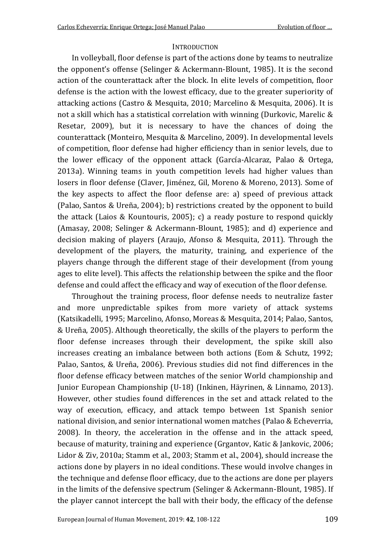#### **INTRODUCTION**

In volleyball, floor defense is part of the actions done by teams to neutralize the opponent's offense (Selinger & Ackermann-Blount, 1985). It is the second action of the counterattack after the block. In elite levels of competition, floor defense is the action with the lowest efficacy, due to the greater superiority of attacking actions (Castro & Mesquita, 2010; Marcelino & Mesquita, 2006). It is not a skill which has a statistical correlation with winning (Durkovic, Marelic & Resetar, 2009), but it is necessary to have the chances of doing the counterattack (Monteiro, Mesquita & Marcelino, 2009). In developmental levels of competition, floor defense had higher efficiency than in senior levels, due to the lower efficacy of the opponent attack (García-Alcaraz, Palao & Ortega, 2013a). Winning teams in youth competition levels had higher values than losers in floor defense (Claver, Jiménez, Gil, Moreno & Moreno, 2013). Some of the key aspects to affect the floor defense are: a) speed of previous attack (Palao, Santos & Ureña, 2004); b) restrictions created by the opponent to build the attack (Laios & Kountouris, 2005); c) a ready posture to respond quickly (Amasay, 2008; Selinger & Ackermann-Blount, 1985); and d) experience and decision making of players (Araujo, Afonso & Mesquita, 2011). Through the development of the players, the maturity, training, and experience of the players change through the different stage of their development (from young ages to elite level). This affects the relationship between the spike and the floor defense and could affect the efficacy and way of execution of the floor defense.

Throughout the training process, floor defense needs to neutralize faster and more unpredictable spikes from more variety of attack systems (Katsikadelli, 1995; Marcelino, Afonso, Moreas & Mesquita, 2014; Palao, Santos, & Ureña, 2005). Although theoretically, the skills of the players to perform the floor defense increases through their development, the spike skill also increases creating an imbalance between both actions (Eom & Schutz, 1992; Palao, Santos, & Ureña, 2006). Previous studies did not find differences in the floor defense efficacy between matches of the senior World championship and Junior European Championship (U-18) (Inkinen, Häyrinen, & Linnamo, 2013). However, other studies found differences in the set and attack related to the way of execution, efficacy, and attack tempo between 1st Spanish senior national division, and senior international women matches (Palao & Echeverria, 2008). In theory, the acceleration in the offense and in the attack speed, because of maturity, training and experience (Grgantov, Katic & Jankovic, 2006; Lidor & Ziv, 2010a; Stamm et al., 2003; Stamm et al., 2004), should increase the actions done by players in no ideal conditions. These would involve changes in the technique and defense floor efficacy, due to the actions are done per players in the limits of the defensive spectrum (Selinger & Ackermann-Blount, 1985). If the player cannot intercept the ball with their body, the efficacy of the defense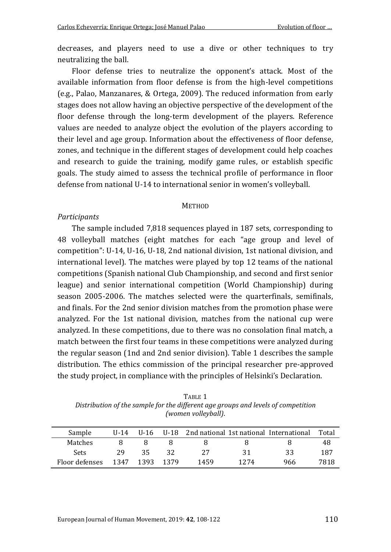decreases, and players need to use a dive or other techniques to try neutralizing the ball.

Floor defense tries to neutralize the opponent's attack. Most of the available information from floor defense is from the high-level competitions (e.g., Palao, Manzanares, & Ortega, 2009). The reduced information from early stages does not allow having an objective perspective of the development of the floor defense through the long-term development of the players. Reference values are needed to analyze object the evolution of the players according to their level and age group. Information about the effectiveness of floor defense, zones, and technique in the different stages of development could help coaches and research to guide the training, modify game rules, or establish specific goals. The study aimed to assess the technical profile of performance in floor defense from national U-14 to international senior in women's volleyball.

#### **METHOD**

### *Participants*

The sample included 7,818 sequences played in 187 sets, corresponding to 48 volleyball matches (eight matches for each "age group and level of competition": U-14, U-16, U-18, 2nd national division, 1st national division, and international level). The matches were played by top 12 teams of the national competitions (Spanish national Club Championship, and second and first senior league) and senior international competition (World Championship) during season 2005-2006. The matches selected were the quarterfinals, semifinals, and finals. For the 2nd senior division matches from the promotion phase were analyzed. For the 1st national division, matches from the national cup were analyzed. In these competitions, due to there was no consolation final match, a match between the first four teams in these competitions were analyzed during the regular season (1nd and 2nd senior division). Table 1 describes the sample distribution. The ethics commission of the principal researcher pre-approved the study project, in compliance with the principles of Helsinki's Declaration.

TABLE 1 *Distribution of the sample for the different age groups and levels of competition (women volleyball)*.

| Sample         | $II - 14$ | $U-16$ |      |      |      | U-18 2nd national 1st national International | Total |
|----------------|-----------|--------|------|------|------|----------------------------------------------|-------|
| Matches        |           |        |      |      |      |                                              | 48    |
| <b>Sets</b>    | 29        | 35     | 32.  | 27   | 31   | 33                                           | 187   |
| Floor defenses | 1347      | 1393   | 1379 | 1459 | 1274 | 966                                          | 7818  |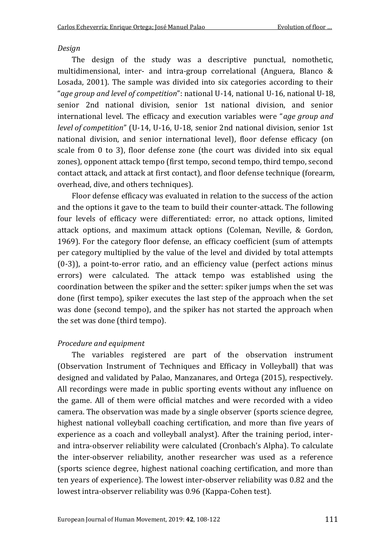# *Design*

The design of the study was a descriptive punctual, nomothetic, multidimensional, inter- and intra-group correlational (Anguera, Blanco & Losada, 2001). The sample was divided into six categories according to their "*age group and level of competition*": national U-14, national U-16, national U-18, senior 2nd national division, senior 1st national division, and senior international level. The efficacy and execution variables were "*age group and level of competition*" (U-14, U-16, U-18, senior 2nd national division, senior 1st national division, and senior international level), floor defense efficacy (on scale from 0 to 3), floor defense zone (the court was divided into six equal zones), opponent attack tempo (first tempo, second tempo, third tempo, second contact attack, and attack at first contact), and floor defense technique (forearm, overhead, dive, and others techniques).

Floor defense efficacy was evaluated in relation to the success of the action and the options it gave to the team to build their counter-attack. The following four levels of efficacy were differentiated: error, no attack options, limited attack options, and maximum attack options (Coleman, Neville, & Gordon, 1969). For the category floor defense, an efficacy coefficient (sum of attempts per category multiplied by the value of the level and divided by total attempts (0-3)), a point-to-error ratio, and an efficiency value (perfect actions minus errors) were calculated. The attack tempo was established using the coordination between the spiker and the setter: spiker jumps when the set was done (first tempo), spiker executes the last step of the approach when the set was done (second tempo), and the spiker has not started the approach when the set was done (third tempo).

# *Procedure and equipment*

The variables registered are part of the observation instrument (Observation Instrument of Techniques and Efficacy in Volleyball) that was designed and validated by Palao, Manzanares, and Ortega (2015), respectively. All recordings were made in public sporting events without any influence on the game. All of them were official matches and were recorded with a video camera. The observation was made by a single observer (sports science degree, highest national volleyball coaching certification, and more than five years of experience as a coach and volleyball analyst). After the training period, interand intra-observer reliability were calculated (Cronbach's Alpha). To calculate the inter-observer reliability, another researcher was used as a reference (sports science degree, highest national coaching certification, and more than ten years of experience). The lowest inter-observer reliability was 0.82 and the lowest intra-observer reliability was 0.96 (Kappa-Cohen test).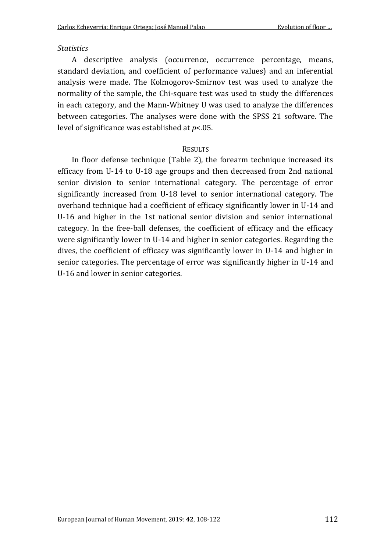## *Statistics*

A descriptive analysis (occurrence, occurrence percentage, means, standard deviation, and coefficient of performance values) and an inferential analysis were made. The Kolmogorov-Smirnov test was used to analyze the normality of the sample, the Chi-square test was used to study the differences in each category, and the Mann-Whitney U was used to analyze the differences between categories. The analyses were done with the SPSS 21 software. The level of significance was established at *p*<.05.

## RESULTS

In floor defense technique (Table 2), the forearm technique increased its efficacy from U-14 to U-18 age groups and then decreased from 2nd national senior division to senior international category. The percentage of error significantly increased from U-18 level to senior international category. The overhand technique had a coefficient of efficacy significantly lower in U-14 and U-16 and higher in the 1st national senior division and senior international category. In the free-ball defenses, the coefficient of efficacy and the efficacy were significantly lower in U-14 and higher in senior categories. Regarding the dives, the coefficient of efficacy was significantly lower in U-14 and higher in senior categories. The percentage of error was significantly higher in U-14 and U-16 and lower in senior categories.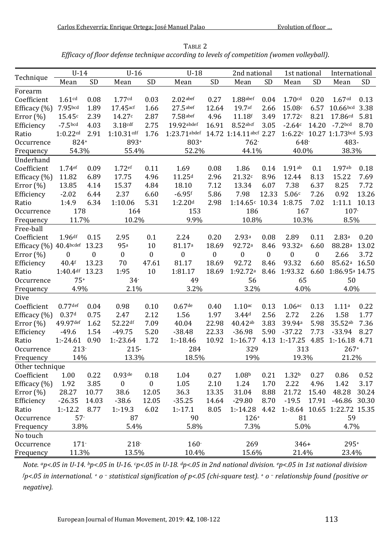| TABLE 2                                                                                    |
|--------------------------------------------------------------------------------------------|
| Efficacy of floor defense technique according to levels of competition (women volleyball). |

|                        | $U-14$              |                  | $U-16$             |                  | $U-18$              |                  | 2nd national           |          | 1st national       |          | International                     |       |  |
|------------------------|---------------------|------------------|--------------------|------------------|---------------------|------------------|------------------------|----------|--------------------|----------|-----------------------------------|-------|--|
| Technique              | Mean                | SD               | Mean               | SD               | Mean                | <b>SD</b>        | Mean                   | SD       | Mean               | SD       | Mean                              | SD    |  |
| Forearm                |                     |                  |                    |                  |                     |                  |                        |          |                    |          |                                   |       |  |
| Coefficient            | 1.61 <sup>cd</sup>  | 0.08             | 1.77cd             | 0.03             | $2.02$ abef         | 0.27             | $1.88$ abef            | 0.04     | 1.70cd             | 0.20     | 1.67cd                            | 0.13  |  |
| Efficacy $(\% )$       | 7.95 <sub>bcd</sub> | 1.89             | $17.45$ acf        | 1.66             | $27.5$ abef         | 12.64            | 19.7 <sup>af</sup>     | 2.66     | 15.08c             | 6.57     | $10.66$ <sub>bcd</sub> 3.38       |       |  |
| Error $(\% )$          | 15.45c              | 2.39             | 14.27c             | 2.87             | $7.58$ abef         | 4.96             | 11.18f                 | 3.49     | 17.72c             | 8.21     | 17.86 <sup>cd</sup>               | 5.81  |  |
| Efficiency             | $-7.5bcd$           | 4.03             | 3.18cdf            | 2.75             | 19.92abdef          | 16.91            | $8.52$ abcf            | 3.05     | $-2.64c$           | 14.20    | $-7.2$ bcd                        | 8.70  |  |
| Ratio                  | 1:0.22cd            | 2.91             | $1:10.31$ cdf      | 1.76             | $1:23.71$ abdef     |                  | 14.72 1:14.11abcf 2.27 |          |                    |          | 1:6.22c 10.27 1:1.73bcd 5.93      |       |  |
| Occurrence             | 824+                |                  | 893+               |                  | 803+                |                  |                        | $762 -$  |                    | 648-     |                                   | 483-  |  |
| Frequency              | 54.3%               |                  | 55.4%              |                  | 52.2%               |                  | 44.1%                  |          | 40.0%              |          | 38.3%                             |       |  |
| Underhand              |                     |                  |                    |                  |                     |                  |                        |          |                    |          |                                   |       |  |
| Coefficient            | 1.74 <sup>ef</sup>  | 0.09             | 1.72 <sup>ef</sup> | 0.11             | 1.69                | 0.08             | 1.86                   | 0.14     | 1.91ab             | 0.1      | 1.97ab                            | 0.18  |  |
| Efficacy $(\% )$       | 11.82               | 6.89             | 17.75              | 4.96             | 11.25 <sup>d</sup>  | 2.96             | 21.32c                 | 8.96     | 12.44              | 8.13     | 15.22                             | 7.69  |  |
| Error $(\%)$           | 13.85               | 4.14             | 15.37              | 4.84             | 18.10               | 7.12             | 13.34                  | 6.07     | 7.38               | 6.37     | 8.25                              | 7.72  |  |
| Efficiency             | $-2.02$             | 6.44             | 2.37               | 6.60             | $-6.95$ f           | 5.86             | 7.98                   | 12.33    | 5.06c              | 7.26     | 0.92                              | 13.26 |  |
| Ratio                  | 1:4.9               | 6.34             | 1:10.06            | 5.31             | 1:2.20 <sup>d</sup> | 2.98             | $1:14.65c$ 10.34       |          | 1:8.75             | 7.02     | 1:11.1                            | 10.13 |  |
| Occurrence             | 178                 |                  | 164                |                  | 153                 |                  | 186                    |          | 167                |          | $107 -$                           |       |  |
| Frequency              | 11.7%               |                  | 10.2%              |                  | 9.9%                |                  | 10.8%                  |          | 10.3%              |          | 8.5%                              |       |  |
| Free-ball              |                     |                  |                    |                  |                     |                  |                        |          |                    |          |                                   |       |  |
| Coefficient            | 1.96df              | 0.15             | 2.95               | 0.1              | 2.24                | 0.20             | 2.93a                  | 0.08     | 2.89               | 0.11     | 2.83 <sup>a</sup>                 | 0.20  |  |
| Efficacy (%) 40.4bcdef |                     | 13.23            | 95 <sup>a</sup>    | 10               | 81.17 <sup>a</sup>  | 18.69            | 92.72ª                 | 8.46     | 93.32ª             | 6.60     | 88.28 <sup>a</sup>                | 13.02 |  |
| Error $(\%)$           | 0                   | $\boldsymbol{0}$ | $\boldsymbol{0}$   | $\boldsymbol{0}$ | $\boldsymbol{0}$    | $\boldsymbol{0}$ | $\mathbf{0}$           | $\Omega$ | $\Omega$           | $\Omega$ | 2.66                              | 3.72  |  |
| Efficiency             | $40.4$ f            | 13.23            | 70                 | 47.61            | 81.17               | 18.69            | 92.72                  | 8.46     | 93.32              | 6.60     | 85.62 <sup>a</sup> 16.50          |       |  |
| Ratio                  | 1:40.4df 13.23      |                  | 1:95               | 10               | 1:81.17             | 18.69            | 1:92.72a               | 8.46     | 1:93.32            | 6.60     | 1:86.95 <sup>a</sup> 14.75        |       |  |
| Occurrence             | $75+$               |                  | $34 -$             |                  | 49                  |                  |                        | 56       |                    | 65       |                                   | 50    |  |
| Frequency              | 4.9%                |                  | 2.1%               |                  | 3.2%                |                  |                        | 3.2%     |                    | 4.0%     |                                   | 4.0%  |  |
| Dive                   |                     |                  |                    |                  |                     |                  |                        |          |                    |          |                                   |       |  |
| Coefficient            | $0.77$ def          | 0.04             | 0.98               | 0.10             | $0.67$ de           | 0.40             | $1.10$ ac              | 0.13     | 1.06ac             | 0.13     | 1.11a                             | 0.22  |  |
| Efficacy $(\% )$       | 0.37d               | 0.75             | 2.47               | 2.12             | 1.56                | 1.97             | 3.44d                  | 2.56     | 2.72               | 2.26     | 1.58                              | 1.77  |  |
| Error $(\%)$           | 49.97def            | 1.62             | 52.22df            | 7.09             | 40.04               | 22.98            | 40.42ab                | 3.83     | 39.94a             | 5.98     | 35.52ab                           | 7.36  |  |
| Efficiency             | $-49.6$             | 1.54             | $-49.75$           | 5.20             | $-38.48$            | 22.33            | $-36.98$               | 5.90     | $-37.22$           | 7.73     | $-33.94$                          | 8.27  |  |
| Ratio                  | 1:-24.61 0.90       |                  | $1: -23.64$        | 1.72             | $1: -18.46$         | 10.92            | $1: -16.77$            |          | 4.13 1:-17.25 4.85 |          | 1:-16.18 4.71                     |       |  |
| Occurrence             | $213 -$             |                  | $215 -$            |                  | 284                 |                  | 329                    |          | 313                |          | $267+$                            |       |  |
| Frequency              | 14%                 |                  | 13.3%              |                  | 18.5%               |                  | 19%                    |          | 19.3%              |          | 21.2%                             |       |  |
| Other technique        |                     |                  |                    |                  |                     |                  |                        |          |                    |          |                                   |       |  |
| Coefficient            | 1.00                | 0.22             | $0.93$ de          | 0.18             | 1.04                | 0.27             | 1.08 <sup>b</sup>      | 0.21     | 1.32 <sup>b</sup>  | 0.27     | 0.86                              | 0.52  |  |
| Efficacy (%)           | 1.92                | 3.85             | $\boldsymbol{0}$   | $\boldsymbol{0}$ | 1.05                | 2.10             | 1.24                   | 1.70     | 2.22               | 4.96     | 1.42                              | 3.17  |  |
| Error $(\%)$           | 28.27               | 10.77            | 38.6               | 12.05            | 36.3                | 13.35            | 31.04                  | 8.88     | 21.72              | 15.40    | 48.28                             | 30.24 |  |
| Efficiency             | $-26.35$            | 14.03            | $-38.6$            | 12.05            | $-35.25$            | 14.64            | $-29.80$               | 8.70     | $-19.5$            | 17.91    | $-46.86$                          | 30.30 |  |
| Ratio                  | $1: -12.2$          | 8.77             | 1:19.3             | 6.02             | $1: -17.1$          | 8.05             | $1: -14.28$            | 4.42     |                    |          | 1:-8.64 10.65 1:22.72 15.35<br>59 |       |  |
| Occurrence             | $57 -$              |                  | 87                 |                  | 90                  |                  |                        | $126+$   |                    | 81       |                                   |       |  |
| Frequency              | 3.8%                |                  | 5.4%               |                  | 5.8%                |                  | 7.3%                   |          |                    | 5.0%     |                                   | 4.7%  |  |
| No touch               |                     |                  |                    |                  |                     |                  |                        |          |                    |          |                                   |       |  |
| Occurrence             | $171 -$             |                  | $218 -$            |                  | $160 -$             |                  | 269                    |          | 346+               |          | $295+$                            |       |  |
| Frequency              |                     | 11.3%<br>13.5%   |                    | 10.4%            |                     | 15.6%            |                        | 21.4%    |                    | 23.4%    |                                   |       |  |

*Note. ap<.05 in U-14. bp<.05 in U-16. cp<.05 in U-18. dp<.05 in 2nd national division. ep<.05 in 1st national division. <sup>f</sup>p<.05 in international. <sup>+</sup> o – statistical signification of p<.05 (chi-square test). <sup>+</sup> o – relationship found (positive or negative).*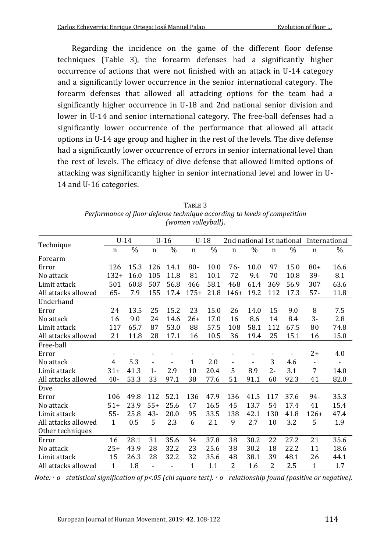Regarding the incidence on the game of the different floor defense techniques (Table 3), the forearm defenses had a significantly higher occurrence of actions that were not finished with an attack in U-14 category and a significantly lower occurrence in the senior international category. The forearm defenses that allowed all attacking options for the team had a significantly higher occurrence in U-18 and 2nd national senior division and lower in U-14 and senior international category. The free-ball defenses had a significantly lower occurrence of the performance that allowed all attack options in U-14 age group and higher in the rest of the levels. The dive defense had a significantly lower occurrence of errors in senior international level than the rest of levels. The efficacy of dive defense that allowed limited options of attacking was significantly higher in senior international level and lower in U-14 and U-16 categories.

| TABLE 3                                                                   |
|---------------------------------------------------------------------------|
| Performance of floor defense technique according to levels of competition |
| (women volleyball).                                                       |

|                     | $U-14$ |      | $U-16$      |      | $U-18$       |      | 2nd national 1st national |      |       |      | International            |      |
|---------------------|--------|------|-------------|------|--------------|------|---------------------------|------|-------|------|--------------------------|------|
| Technique           | n      | $\%$ | $\mathbf n$ | $\%$ | $\mathbf n$  | $\%$ | $\mathbf n$               | $\%$ | n     | $\%$ | n                        | $\%$ |
| Forearm             |        |      |             |      |              |      |                           |      |       |      |                          |      |
| Error               | 126    | 15.3 | 126         | 14.1 | $80 -$       | 10.0 | 76-                       | 10.0 | 97    | 15.0 | $80+$                    | 16.6 |
| No attack           | $132+$ | 16.0 | 105         | 11.8 | 81           | 10.1 | 72                        | 9.4  | 70    | 10.8 | 39-                      | 8.1  |
| Limit attack        | 501    | 60.8 | 507         | 56.8 | 466          | 58.1 | 468                       | 61.4 | 369   | 56.9 | 307                      | 63.6 |
| All attacks allowed | $65 -$ | 7.9  | 155         | 17.4 | $175+$       | 21.8 | $146+$                    | 19.2 | 112   | 17.3 | $57 -$                   | 11.8 |
| Underhand           |        |      |             |      |              |      |                           |      |       |      |                          |      |
| Error               | 24     | 13.5 | 25          | 15.2 | 23           | 15.0 | 26                        | 14.0 | 15    | 9.0  | 8                        | 7.5  |
| No attack           | 16     | 9.0  | 24          | 14.6 | $26+$        | 17.0 | 16                        | 8.6  | 14    | 8.4  | $3 -$                    | 2.8  |
| Limit attack        | 117    | 65.7 | 87          | 53.0 | 88           | 57.5 | 108                       | 58.1 | 112   | 67.5 | 80                       | 74.8 |
| All attacks allowed | 21     | 11.8 | 28          | 17.1 | 16           | 10.5 | 36                        | 19.4 | 25    | 15.1 | 16                       | 15.0 |
| Free-ball           |        |      |             |      |              |      |                           |      |       |      |                          |      |
| Error               |        |      |             |      |              |      |                           |      |       |      | $2+$                     | 4.0  |
| No attack           | 4      | 5.3  |             |      | $\mathbf{1}$ | 2.0  |                           |      | 3     | 4.6  | $\overline{\phantom{a}}$ |      |
| Limit attack        | $31+$  | 41.3 | $1 -$       | 2.9  | 10           | 20.4 | 5                         | 8.9  | $2 -$ | 3.1  | 7                        | 14.0 |
| All attacks allowed | $40 -$ | 53.3 | 33          | 97.1 | 38           | 77.6 | 51                        | 91.1 | 60    | 92.3 | 41                       | 82.0 |
| Dive                |        |      |             |      |              |      |                           |      |       |      |                          |      |
| Error               | 106    | 49.8 | 112         | 52.1 | 136          | 47.9 | 136                       | 41.5 | 117   | 37.6 | 94-                      | 35.3 |
| No attack           | $51+$  | 23.9 | $55+$       | 25.6 | 47           | 16.5 | 45                        | 13.7 | 54    | 17.4 | 41                       | 15.4 |
| Limit attack        | $55 -$ | 25.8 | 43-         | 20.0 | 95           | 33.5 | 138                       | 42.1 | 130   | 41.8 | $126+$                   | 47.4 |
| All attacks allowed | 1      | 0.5  | 5           | 2.3  | 6            | 2.1  | 9                         | 2.7  | 10    | 3.2  | 5                        | 1.9  |
| Other techniques    |        |      |             |      |              |      |                           |      |       |      |                          |      |
| Error               | 16     | 28.1 | 31          | 35.6 | 34           | 37.8 | 38                        | 30.2 | 22    | 27.2 | 21                       | 35.6 |
| No attack           | 25+    | 43.9 | 28          | 32.2 | 23           | 25.6 | 38                        | 30.2 | 18    | 22.2 | 11                       | 18.6 |
| Limit attack        | 15     | 26.3 | 28          | 32.2 | 32           | 35.6 | 48                        | 38.1 | 39    | 48.1 | 26                       | 44.1 |
| All attacks allowed | 1      | 1.8  | ÷.          | -    | $\mathbf{1}$ | 1.1  | 2                         | 1.6  | 2     | 2.5  | 1                        | 1.7  |

*Note: <sup>+</sup> o – statistical signification of p<.05 (chi square test). <sup>+</sup> o – relationship found (positive or negative).*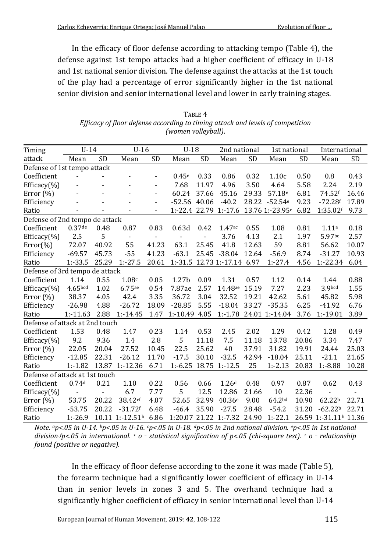In the efficacy of floor defense according to attacking tempo (Table 4), the defense against 1st tempo attacks had a higher coefficient of efficacy in U-18 and 1st national senior division. The defense against the attacks at the 1st touch of the play had a percentage of error significantly higher in the 1st national senior division and senior international level and lower in early training stages.

| TABLE 4                                                                        |
|--------------------------------------------------------------------------------|
| Efficacy of floor defense according to timing attack and levels of competition |
| (women volleyball).                                                            |

| Timing                         | $U-14$                   |                          | $U-16$                   |                          | $U-18$            |                | 2nd national                |           | 1st national       |           | International                     |                          |
|--------------------------------|--------------------------|--------------------------|--------------------------|--------------------------|-------------------|----------------|-----------------------------|-----------|--------------------|-----------|-----------------------------------|--------------------------|
| attack                         | Mean                     | <b>SD</b>                | Mean                     | <b>SD</b>                | Mean              | <b>SD</b>      | Mean                        | <b>SD</b> | Mean               | <b>SD</b> | Mean                              | <b>SD</b>                |
| Defense of 1st tempo attack    |                          |                          |                          |                          |                   |                |                             |           |                    |           |                                   |                          |
| Coefficient                    |                          | $\overline{\phantom{a}}$ | $\overline{a}$           |                          | 0.45 <sup>e</sup> | 0.33           | 0.86                        | 0.32      | 1.10c              | 0.50      | 0.8                               | 0.43                     |
| Efficacy(%)                    |                          |                          |                          | $\blacksquare$           | 7.68              | 11.97          | 4.96                        | 3.50      | 4.64               | 5.58      | 2.24                              | 2.19                     |
| Error $(\%)$                   |                          |                          | $\overline{\phantom{0}}$ | $\blacksquare$           | 60.24             | 37.66          | 45.16                       | 29.33     | 57.18 <sup>e</sup> | 6.81      | 74.52f                            | 16.46                    |
| Efficiency                     |                          |                          | ÷,                       | $\blacksquare$           | $-52.56$ 40.06    |                | $-40.2$                     | 28.22     | $-52.54e$          | 9.23      | $-72.28f$                         | 17.89                    |
| Ratio                          |                          |                          | $\overline{\phantom{a}}$ | $\overline{\phantom{a}}$ |                   |                | 1:-22.4 22.79 1:-17.6       |           | 13.76 1:-23.95e    | 6.82      | 1:35.02f                          | 9.73                     |
| Defense of 2nd tempo de attack |                          |                          |                          |                          |                   |                |                             |           |                    |           |                                   |                          |
| Coefficient                    | $0.37$ de                | 0.48                     | 0.87                     | 0.83                     | 0.63d             | 0.42           | 1.47ac                      | 0.55      | 1.08               | 0.81      | 1.11 <sup>a</sup>                 | 0.18                     |
| Efficacy $(\% )$               | 2.5                      | 5                        | $\blacksquare$           | $\blacksquare$           | $\blacksquare$    | $\overline{a}$ | 3.76                        | 4.13      | 2.1                | 1.97      | 5.97bc                            | 2.57                     |
| $Error(\% )$                   | 72.07                    | 40.92                    | 55                       | 41.23                    | 63.1              | 25.45          | 41.8                        | 12.63     | 59                 | 8.81      | 56.62                             | 10.07                    |
| Efficiency                     | $-69.57$                 | 45.73                    | $-55$                    | 41.23                    | $-63.1$           |                | 25.45 -38.04                | 12.64     | $-56.9$            | 8.74      | $-31.27$                          | 10.93                    |
| Ratio                          | $1: -33.5$               | 25.29                    | $1: -27.5$               | 20.61                    |                   |                | 1:-31.5 12.73 1:-17.14 6.97 |           | $1: -27.4$         | 4.56      | $1: -22.34$                       | 6.04                     |
| Defense of 3rd tempo de attack |                          |                          |                          |                          |                   |                |                             |           |                    |           |                                   |                          |
| Coefficient                    | 1.14                     | 0.55                     | 1.08c                    | 0.05                     | 1.27 <sub>b</sub> | 0.09           | 1.31                        | 0.57      | 1.12               | 0.14      | 1.44                              | 0.88                     |
| Efficacy $(\% )$               | 4.65bcd                  | 1.02                     | 6.75ae                   | 0.54                     | 7.87ae            | 2.57           | 14.48ae                     | 15.19     | 7.27               | 2.23      | 3.9bcd                            | 1.55                     |
| Error $(\% )$                  | 38.37                    | 4.05                     | 42.4                     | 3.35                     | 36.72             | 3.04           | 32.52                       | 19.21     | 42.62              | 5.61      | 45.82                             | 5.98                     |
| Efficiency                     | $-26.98$                 | 4.88                     | $-26.72$                 | 18.09                    | $-28.85$          | 5.55           | $-18.04$                    | 33.27     | $-35.35$           | 6.25      | $-41.92$                          | 6.76                     |
| Ratio                          | $1: -11.63$              | 2.88                     | $1: -14.45$              | 1.47                     | 1:-10.49 4.05     |                | $1: -1.78$                  |           | 24.01 1:-14.04     | 3.76      | $1: -19.01$                       | 3.89                     |
| Defense of attack at 2nd touch |                          |                          |                          |                          |                   |                |                             |           |                    |           |                                   |                          |
| Coefficient                    | 1.53                     | 0.48                     | 1.47                     | 0.23                     | 1.14              | 0.53           | 2.45                        | 2.02      | 1.29               | 0.42      | 1.28                              | 0.49                     |
| Efficacy $(\% )$               | 9.2                      | 9.36                     | 1.4                      | 2.8                      | 5                 | 11.18          | 7.5                         | 11.18     | 13.78              | 20.86     | 3.34                              | 7.47                     |
| Error $(\% )$                  | 22.05                    | 20.04                    | 27.52                    | 10.45                    | 22.5              | 25.62          | 40                          | 37.91     | 31.82              | 19.91     | 24.44                             | 25.03                    |
| Efficiency                     | $-12.85$                 | 22.31                    | $-26.12$                 | 11.70                    | $-17.5$           | 30.10          | $-32.5$                     | 42.94     | $-18.04$           | 25.11     | $-21.1$                           | 21.65                    |
| Ratio                          | $1: -1.82$               | 13.87                    | $1: -12.36$              | 6.71                     | $1: -6.25$        |                | 18.75 1:-12.5               | 25        | $1: -2.13$         | 20.83     | $1: -8.88$                        | 10.28                    |
| Defense of attack at 1st touch |                          |                          |                          |                          |                   |                |                             |           |                    |           |                                   |                          |
| Coefficient                    | 0.74d                    | 0.21                     | 1.10                     | 0.22                     | 0.56              | 0.66           | 1.26 <sup>d</sup>           | 0.48      | 0.97               | 0.87      | 0.62                              | 0.43                     |
| Efficacy $(\% )$               | $\overline{\phantom{a}}$ | $\overline{\phantom{a}}$ | 6.7                      | 7.77                     | 5                 | 12.5           | 12.86                       | 21.66     | 10                 | 22.36     |                                   | $\overline{\phantom{a}}$ |
| Error $(\%)$                   | 53.75                    | 20.22                    | 38.42 <sup>ef</sup>      | 4.07                     | 52.65             | 32.99          | 40.36e                      | 9.00      | 64.2bd             | 10.90     | 62.22 <sup>b</sup>                | 22.71                    |
| Efficiency                     | $-53.75$                 | 20.22                    | $-31.72$ f               | 6.48                     | $-46.4$           | 35.90          | $-27.5$                     | 28.48     | $-54.2$            | 31.20     | $-62.22b$                         | 22.71                    |
| Ratio                          | $1: -26.9$               |                          | 10.11 1:-12.51b          | 6.86                     |                   |                | 1:20.07 21.22 1:-7.32 24.90 |           | $1:-22.1$          |           | 26.59 1:-31.11 <sup>b</sup> 11.36 |                          |

*Note. ap<.05 in U-14. bp<.05 in U-16. cp<.05 in U-18. dp<.05 in 2nd national division. ep<.05 in 1st national division. fp<.05 in international. <sup>+</sup> o – statistical signification of p<.05 (chi-square test). <sup>+</sup> o – relationship found (positive or negative).*

In the efficacy of floor defense according to the zone it was made (Table 5), the forearm technique had a significantly lower coefficient of efficacy in U-14 than in senior levels in zones 3 and 5. The overhand technique had a significantly higher coefficient of efficacy in senior international level than U-14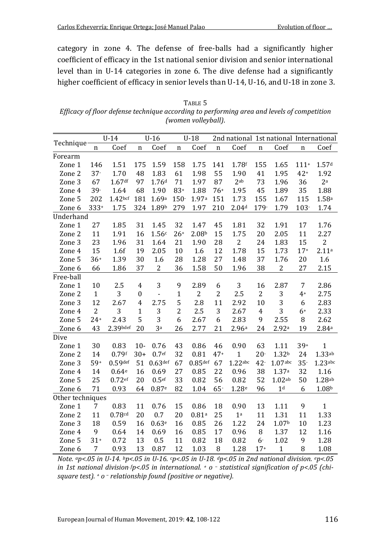category in zone 4. The defense of free-balls had a significantly higher coefficient of efficacy in the 1st national senior division and senior international level than in U-14 categories in zone 6. The dive defense had a significantly higher coefficient of efficacy in senior levels than U-14, U-16, and U-18 in zone 3.

| TABLE 5                                                                                    |
|--------------------------------------------------------------------------------------------|
| Efficacy of floor defense technique according to performing area and levels of competition |
| (women volleyball).                                                                        |

|                  | $U-14$       |                     | $U-16$           |                   | $U-18$         |                   |             |                   |                |                   |         | 2nd national 1st national International |  |
|------------------|--------------|---------------------|------------------|-------------------|----------------|-------------------|-------------|-------------------|----------------|-------------------|---------|-----------------------------------------|--|
| Technique        | n            | Coef                | $\mathbf n$      | Coef              | $\mathbf n$    | Coef              | $\mathbf n$ | Coef              | $\mathbf n$    | Coef              | n       | Coef                                    |  |
| Forearm          |              |                     |                  |                   |                |                   |             |                   |                |                   |         |                                         |  |
| Zone 1           | 146          | 1.51                | 175              | 1.59              | 158            | 1.75              | 141         | 1.78f             | 155            | 1.65              | $111+$  | 1.57 <sup>d</sup>                       |  |
| Zone 2           | $37 -$       | 1.70                | 48               | 1.83              | 61             | 1.98              | 55          | 1.90              | 41             | 1.95              | $42+$   | 1.92                                    |  |
| Zone 3           | 67           | 1.67 <sup>df</sup>  | 97               | 1.76 <sup>d</sup> | 71             | 1.97              | 87          | 2ab               | 73             | 1.96              | 36      | 2 <sup>a</sup>                          |  |
| Zone 4           | $39 -$       | 1.64                | 68               | 1.90              | $83+$          | 1.88              | $76+$       | 1.95              | 45             | 1.89              | 35      | 1.88                                    |  |
| Zone 5           | 202          | 1.42 <sub>bcf</sub> | 181              | 1.69a             | $150 -$        | 1.97a             | 151         | 1.73              | 155            | 1.67              | 115     | 1.58a                                   |  |
| Zone 6           | $333+$       | 1.75                | 324              | 1.89b             | 279            | 1.97              | 210         | 2.04 <sup>d</sup> | 179-           | 1.79              | $103 -$ | 1.74                                    |  |
| Underhand        |              |                     |                  |                   |                |                   |             |                   |                |                   |         |                                         |  |
| Zone 1           | 27           | 1.85                | 31               | 1.45              | 32             | 1.47              | 45          | 1.81              | 32             | 1.91              | 17      | 1.76                                    |  |
| Zone 2           | 11           | 1.91                | 16               | 1.56c             | $26+$          | 2.08 <sup>b</sup> | 15          | 1.75              | 20             | 2.05              | 11      | 2.27                                    |  |
| Zone 3           | 23           | 1.96                | 31               | 1.64              | 21             | 1.90              | 28          | 2                 | 24             | 1.83              | 15      | $\overline{c}$                          |  |
| Zone 4           | 15           | 1.6f                | 19               | 2.05              | 10             | 1.6               | 12          | 1.78              | 15             | 1.73              | $17+$   | 2.11a                                   |  |
| Zone 5           | $36+$        | 1.39                | 30               | 1.6               | 28             | 1.28              | 27          | 1.48              | 37             | 1.76              | 20      | 1.6                                     |  |
| Zone 6           | 66           | 1.86                | 37               | $\mathbf{2}$      | 36             | 1.58              | 50          | 1.96              | 38             | 2                 | 27      | 2.15                                    |  |
| Free-ball        |              |                     |                  |                   |                |                   |             |                   |                |                   |         |                                         |  |
| Zone 1           | 10           | 2.5                 | $\overline{4}$   | 3                 | 9              | 2.89              | 6           | 3                 | 16             | 2.87              | 7       | 2.86                                    |  |
| Zone 2           | $\mathbf{1}$ | 3                   | $\boldsymbol{0}$ | $\blacksquare$    | $\mathbf{1}$   | $\overline{2}$    | 2           | 2.5               | $\overline{2}$ | 3                 | $4+$    | 2.75                                    |  |
| Zone 3           | 12           | 2.67                | 4                | 2.75              | 5              | 2.8               | 11          | 2.92              | 10             | 3                 | 6       | 2.83                                    |  |
| Zone 4           | 2            | 3                   | $\mathbf{1}$     | 3                 | $\overline{c}$ | 2.5               | 3           | 2.67              | $\overline{4}$ | 3                 | $6+$    | 2.33                                    |  |
| Zone 5           | $24+$        | 2.43                | 5                | 3                 | 6              | 2.67              | 6           | 2.83              | 9              | 2.55              | 8       | 2.62                                    |  |
| Zone 6           | 43           | $2.39$ bdef         | 20               | 3a                | 26             | 2.77              | 21          | 2.96a             | 24             | 2.92a             | 19      | 2.84a                                   |  |
| Dive             |              |                     |                  |                   |                |                   |             |                   |                |                   |         |                                         |  |
| Zone 1           | 30           | 0.83                | $10-$            | 0.76              | 43             | 0.86              | 46          | 0.90              | 63             | 1.11              | $39+$   | $\mathbf{1}$                            |  |
| Zone 2           | 14           | $0.79$ f            | $30+$            | 0.7 <sup>ef</sup> | 32             | 0.81              | $47+$       | $\mathbf{1}$      | $20 -$         | 1.32 <sup>b</sup> | 24      | 1.33ab                                  |  |
| Zone 3           | $59+$        | $0.59$ def          | 51               | $0.63$ def        | 67             | $0.85$ def        | 67          | $1.22$ abc        | $42 -$         | $1.07$ abc        | $35 -$  | $1.23$ abc                              |  |
| Zone 4           | 14           | 0.64e               | 16               | 0.69              | 27             | 0.85              | 22          | 0.96              | 38             | 1.37a             | 32      | 1.16                                    |  |
| Zone 5           | 25           | 0.72 <sub>ef</sub>  | 20               | 0.5 <sup>ef</sup> | 33             | 0.82              | 56          | 0.82              | 52             | 1.02ab            | 50      | 1.28ab                                  |  |
| Zone 6           | 71           | 0.93                | 64               | 0.87e             | 82             | 1.04              | $65 -$      | 1.28 <sup>e</sup> | 96             | $1d$              | 6       | 1.08 <sup>b</sup>                       |  |
| Other techniques |              |                     |                  |                   |                |                   |             |                   |                |                   |         |                                         |  |
| Zone 1           | 7            | 0.83                | 11               | 0.76              | 15             | 0.86              | 18          | 0.90              | 13             | 1.11              | 9       | $\mathbf{1}$                            |  |
| Zone 2           | 11           | 0.78cd              | 20               | 0.7               | 20             | 0.81a             | 25          | 1 <sup>a</sup>    | 11             | 1.31              | 11      | 1.33                                    |  |
| Zone 3           | 18           | 0.59                | 16               | 0.63e             | 16             | 0.85              | 26          | 1.22              | 24             | 1.07 <sub>b</sub> | 10      | 1.23                                    |  |
| Zone 4           | 9            | 0.64                | 14               | 0.69              | 16             | 0.85              | 17          | 0.96              | 8              | 1.37              | 12      | 1.16                                    |  |
| Zone 5           | $31+$        | 0.72                | 13               | 0.5               | 11             | 0.82              | 18          | 0.82              | $6 -$          | 1.02              | 9       | 1.28                                    |  |
| Zone 6           | 7            | 0.93                | 13               | 0.87              | 12             | 1.03              | 8           | 1.28              | $17+$          | $\mathbf{1}$      | 8       | 1.08                                    |  |

*Note. ap<.05 in U-14. bp<.05 in U-16. cp<.05 in U-18. dp<.05 in 2nd national division. ep<.05 in 1st national division. fp<.05 in international. <sup>+</sup> o – statistical signification of p<.05 (chisquare test). <sup>+</sup> o – relationship found (positive or negative).*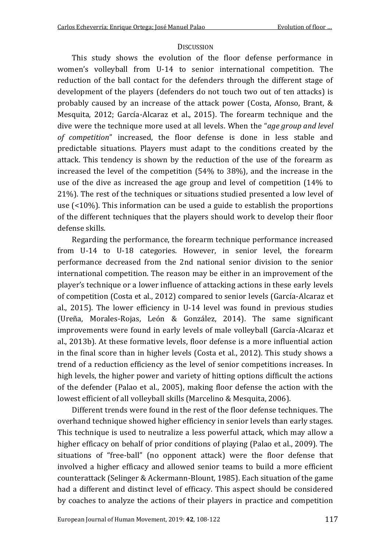### **DISCUSSION**

This study shows the evolution of the floor defense performance in women's volleyball from U-14 to senior international competition. The reduction of the ball contact for the defenders through the different stage of development of the players (defenders do not touch two out of ten attacks) is probably caused by an increase of the attack power (Costa, Afonso, Brant, & Mesquita, 2012; García-Alcaraz et al., 2015). The forearm technique and the dive were the technique more used at all levels. When the "*age group and level of competition*" increased, the floor defense is done in less stable and predictable situations. Players must adapt to the conditions created by the attack. This tendency is shown by the reduction of the use of the forearm as increased the level of the competition (54% to 38%), and the increase in the use of the dive as increased the age group and level of competition (14% to 21%). The rest of the techniques or situations studied presented a low level of use (<10%). This information can be used a guide to establish the proportions of the different techniques that the players should work to develop their floor defense skills.

Regarding the performance, the forearm technique performance increased from U-14 to U-18 categories. However, in senior level, the forearm performance decreased from the 2nd national senior division to the senior international competition. The reason may be either in an improvement of the player's technique or a lower influence of attacking actions in these early levels of competition (Costa et al., 2012) compared to senior levels (García-Alcaraz et al., 2015). The lower efficiency in U-14 level was found in previous studies (Ureña, Morales-Rojas, León & González, 2014). The same significant improvements were found in early levels of male volleyball (García-Alcaraz et al., 2013b). At these formative levels, floor defense is a more influential action in the final score than in higher levels (Costa et al., 2012). This study shows a trend of a reduction efficiency as the level of senior competitions increases. In high levels, the higher power and variety of hitting options difficult the actions of the defender (Palao et al., 2005), making floor defense the action with the lowest efficient of all volleyball skills (Marcelino & Mesquita, 2006).

Different trends were found in the rest of the floor defense techniques. The overhand technique showed higher efficiency in senior levels than early stages. This technique is used to neutralize a less powerful attack, which may allow a higher efficacy on behalf of prior conditions of playing (Palao et al., 2009). The situations of "free-ball" (no opponent attack) were the floor defense that involved a higher efficacy and allowed senior teams to build a more efficient counterattack (Selinger & Ackermann-Blount, 1985). Each situation of the game had a different and distinct level of efficacy. This aspect should be considered by coaches to analyze the actions of their players in practice and competition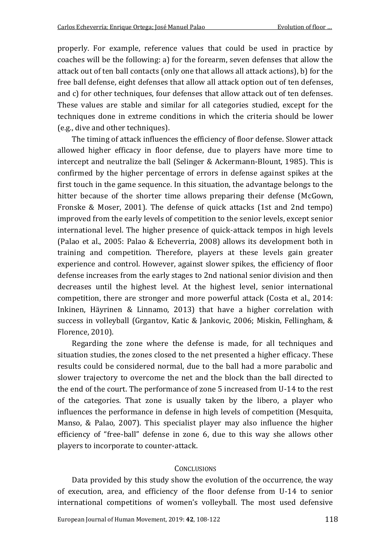properly. For example, reference values that could be used in practice by coaches will be the following: a) for the forearm, seven defenses that allow the attack out of ten ball contacts (only one that allows all attack actions), b) for the free ball defense, eight defenses that allow all attack option out of ten defenses, and c) for other techniques, four defenses that allow attack out of ten defenses. These values are stable and similar for all categories studied, except for the techniques done in extreme conditions in which the criteria should be lower (e.g., dive and other techniques).

The timing of attack influences the efficiency of floor defense. Slower attack allowed higher efficacy in floor defense, due to players have more time to intercept and neutralize the ball (Selinger & Ackermann-Blount, 1985). This is confirmed by the higher percentage of errors in defense against spikes at the first touch in the game sequence. In this situation, the advantage belongs to the hitter because of the shorter time allows preparing their defense (McGown, Fronske & Moser, 2001). The defense of quick attacks (1st and 2nd tempo) improved from the early levels of competition to the senior levels, except senior international level. The higher presence of quick-attack tempos in high levels (Palao et al., 2005: Palao & Echeverria, 2008) allows its development both in training and competition. Therefore, players at these levels gain greater experience and control. However, against slower spikes, the efficiency of floor defense increases from the early stages to 2nd national senior division and then decreases until the highest level. At the highest level, senior international competition, there are stronger and more powerful attack (Costa et al., 2014: Inkinen, Häyrinen & Linnamo, 2013) that have a higher correlation with success in volleyball (Grgantov, Katic & Jankovic, 2006; Miskin, Fellingham, & Florence, 2010).

Regarding the zone where the defense is made, for all techniques and situation studies, the zones closed to the net presented a higher efficacy. These results could be considered normal, due to the ball had a more parabolic and slower trajectory to overcome the net and the block than the ball directed to the end of the court. The performance of zone 5 increased from U-14 to the rest of the categories. That zone is usually taken by the libero, a player who influences the performance in defense in high levels of competition (Mesquita, Manso, & Palao, 2007). This specialist player may also influence the higher efficiency of "free-ball" defense in zone 6, due to this way she allows other players to incorporate to counter-attack.

### **CONCLUSIONS**

Data provided by this study show the evolution of the occurrence, the way of execution, area, and efficiency of the floor defense from U-14 to senior international competitions of women's volleyball. The most used defensive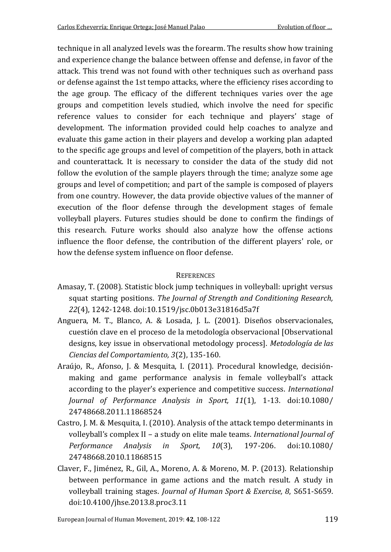technique in all analyzed levels was the forearm. The results show how training and experience change the balance between offense and defense, in favor of the attack. This trend was not found with other techniques such as overhand pass or defense against the 1st tempo attacks, where the efficiency rises according to the age group. The efficacy of the different techniques varies over the age groups and competition levels studied, which involve the need for specific reference values to consider for each technique and players' stage of development. The information provided could help coaches to analyze and evaluate this game action in their players and develop a working plan adapted to the specific age groups and level of competition of the players, both in attack and counterattack. It is necessary to consider the data of the study did not follow the evolution of the sample players through the time; analyze some age groups and level of competition; and part of the sample is composed of players from one country. However, the data provide objective values of the manner of execution of the floor defense through the development stages of female volleyball players. Futures studies should be done to confirm the findings of this research. Future works should also analyze how the offense actions influence the floor defense, the contribution of the different players' role, or how the defense system influence on floor defense.

# **REFERENCES**

- Amasay, T. (2008). Statistic block jump techniques in volleyball: upright versus squat starting positions. *The Journal of Strength and Conditioning Research, 22*(4), 1242-1248. doi:10.1519/jsc.0b013e31816d5a7f
- Anguera, M. T., Blanco, A. & Losada, J. L. (2001). Diseños observacionales, cuestión clave en el proceso de la metodología observacional [Observational designs, key issue in observational metodology process]. *Metodología de las Ciencias del Comportamiento, 3*(2), 135-160.
- Araújo, R., Afonso, J. & Mesquita, I. (2011). Procedural knowledge, decisiónmaking and game performance analysis in female volleyball's attack according to the player's experience and competitive success. *International Journal of Performance Analysis in Sport, 11*(1), 1-13. doi:10.1080/ 24748668.2011.11868524
- Castro, J. M. & Mesquita, I. (2010). Analysis of the attack tempo determinants in volleyball's complex II – a study on elite male teams. *International Journal of Performance Analysis in Sport, 10*(3), 197-206. doi:10.1080/ 24748668.2010.11868515
- Claver, F., Jiménez, R., Gil, A., Moreno, A. & Moreno, M. P. (2013). Relationship between performance in game actions and the match result. A study in volleyball training stages. *Journal of Human Sport & Exercise, 8*, S651-S659. doi:10.4100/jhse.2013.8.proc3.11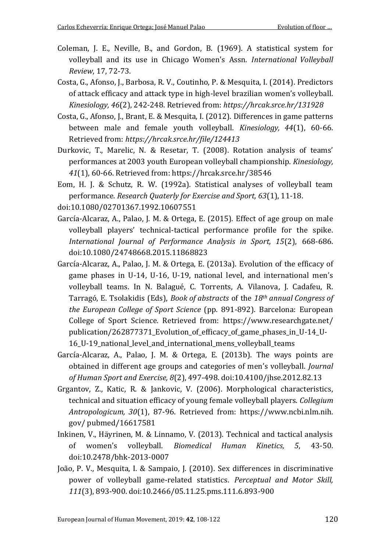- Coleman, J. E., Neville, B., and Gordon, B. (1969). A statistical system for volleyball and its use in Chicago Women's Assn. *International Volleyball Review*, 17, 72-73.
- Costa, G., Afonso, J., Barbosa, R. V., Coutinho, P. & Mesquita, I. (2014). Predictors of attack efficacy and attack type in high-level brazilian women's volleyball. *Kinesiology, 46*(2), 242-248. Retrieved from: *https://hrcak.srce.hr/131928*
- Costa, G., Afonso, J., Brant, E. & Mesquita, I. (2012). Differences in game patterns between male and female youth volleyball. *Kinesiology, 44*(1), 60-66. Retrieved from: *https://hrcak.srce.hr/file/124413*
- Durkovic, T., Marelic, N. & Resetar, T. (2008). Rotation analysis of teams' performances at 2003 youth European volleyball championship. *Kinesiology, 41*(1), 60-66. Retrieved from: https://hrcak.srce.hr/38546
- Eom, H. J. & Schutz, R. W. (1992a). Statistical analyses of volleyball team performance. *Research Quaterly for Exercise and Sport, 63*(1), 11-18.
- doi:10.1080/02701367.1992.10607551
- García-Alcaraz, A., Palao, J. M. & Ortega, E. (2015). Effect of age group on male volleyball players' technical-tactical performance profile for the spike. *International Journal of Performance Analysis in Sport, 15*(2), 668-686. doi:10.1080/24748668.2015.11868823
- García-Alcaraz, A., Palao, J. M. & Ortega, E. (2013a). Evolution of the efficacy of game phases in U-14, U-16, U-19, national level, and international men's volleyball teams. In N. Balagué, C. Torrents, A. Vilanova, J. Cadafeu, R. Tarragó, E. Tsolakidis (Eds), *Book of abstracts* of the *18th annual Congress of the European College of Sport Science* (pp. 891-892). Barcelona: European College of Sport Science. Retrieved from: <https://www.researchgate.net/> publication/262877371\_Evolution\_of\_efficacy\_of\_game\_phases\_in\_U-14\_U-16\_U-19\_national\_level\_and\_international\_mens\_volleyball\_teams
- García-Alcaraz, A., Palao, J. M. & Ortega, E. (2013b). The ways points are obtained in different age groups and categories of men's volleyball. *Journal of Human Sport and Exercise, 8*(2), 497-498. doi:10.4100/jhse.2012.82.13
- Grgantov, Z., Katic, R. & Jankovic, V. (2006). Morphological characteristics, technical and situation efficacy of young female volleyball players. *Collegium Antropologicum, 30*(1), 87-96. Retrieved from: https://www.ncbi.nlm.nih. gov/ pubmed/16617581
- Inkinen, V., Häyrinen, M. & Linnamo, V. (2013). Technical and tactical analysis of women's volleyball. *Biomedical Human Kinetics, 5*, 43-50. doi:10.2478/bhk-2013-0007
- João, P. V., Mesquita, I. & Sampaio, J. (2010). Sex differences in discriminative power of volleyball game-related statistics. *Perceptual and Motor Skill, 111*(3), 893-900. doi:10.2466/05.11.25.pms.111.6.893-900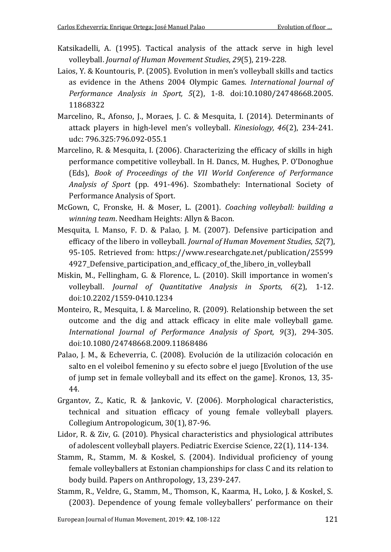- Katsikadelli, A. (1995). Tactical analysis of the attack serve in high level volleyball. *Journal of Human Movement Studies*, *29*(5), 219-228.
- Laios, Y. & Kountouris, P. (2005). Evolution in men's volleyball skills and tactics as evidence in the Athens 2004 Olympic Games. *International Journal of Performance Analysis in Sport, 5*(2), 1-8. doi:10.1080/24748668.2005. 11868322
- Marcelino, R., Afonso, J., Moraes, J. C. & Mesquita, I. (2014). Determinants of attack players in high-level men's volleyball. *Kinesiology, 46*(2), 234-241. udc: 796.325:796.092-055.1
- Marcelino, R. & Mesquita, I. (2006). Characterizing the efficacy of skills in high performance competitive volleyball. In H. Dancs, M. Hughes, P. O'Donoghue (Eds), *Book of Proceedings of the VII World Conference of Performance Analysis of Sport* (pp. 491-496). Szombathely: International Society of Performance Analysis of Sport.
- McGown, C, Fronske, H. & Moser, L. (2001). *Coaching volleyball: building a winning team*. Needham Heights: Allyn & Bacon.
- Mesquita, I. Manso, F. D. & Palao, J. M. (2007). Defensive participation and efficacy of the libero in volleyball. *Journal of Human Movement Studies*, *52*(7), 95-105. Retrieved from: https://www.researchgate.net/publication/25599 4927\_Defensive\_participation\_and\_efficacy\_of\_the\_libero\_in\_volleyball
- Miskin, M., Fellingham, G. & Florence, L. (2010). Skill importance in women's volleyball. *Journal of Quantitative Analysis in Sports, 6*(2), 1-12. doi:10.2202/1559-0410.1234
- Monteiro, R., Mesquita, I. & Marcelino, R. (2009). Relationship between the set outcome and the dig and attack efficacy in elite male volleyball game. *International Journal of Performance Analysis of Sport, 9*(3), 294-305. doi:10.1080/24748668.2009.11868486
- Palao, J. M., & Echeverria, C. (2008). Evolución de la utilización colocación en salto en el voleibol femenino y su efecto sobre el juego [Evolution of the use of jump set in female volleyball and its effect on the game]. Kronos, 13, 35- 44.
- Grgantov, Z., Katic, R. & Jankovic, V. (2006). Morphological characteristics, technical and situation efficacy of young female volleyball players. Collegium Antropologicum, 30(1), 87-96.
- Lidor, R. & Ziv, G. (2010). Physical characteristics and physiological attributes of adolescent volleyball players. Pediatric Exercise Science, 22(1), 114-134.
- Stamm, R., Stamm, M. & Koskel, S. (2004). Individual proficiency of young female volleyballers at Estonian championships for class C and its relation to body build. Papers on Anthropology, 13, 239-247.
- Stamm, R., Veldre, G., Stamm, M., Thomson, K., Kaarma, H., Loko, J. & Koskel, S. (2003). Dependence of young female volleyballers' performance on their